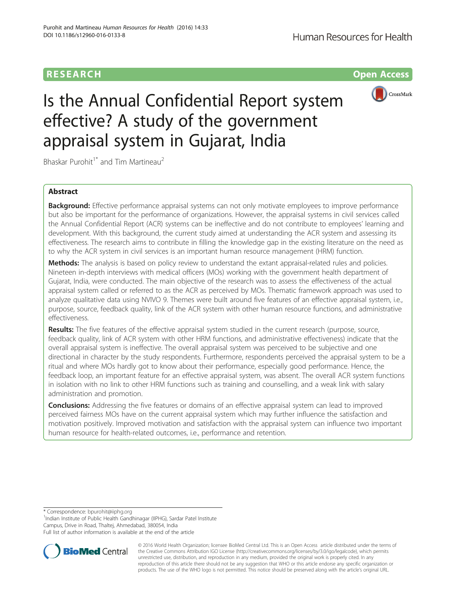# **RESEARCH RESEARCH** *CHECK <b>CHECK*



# Is the Annual Confidential Report system effective? A study of the government appraisal system in Gujarat, India

Bhaskar Purohit<sup>1\*</sup> and Tim Martineau<sup>2</sup>

# Abstract

**Background:** Effective performance appraisal systems can not only motivate employees to improve performance but also be important for the performance of organizations. However, the appraisal systems in civil services called the Annual Confidential Report (ACR) systems can be ineffective and do not contribute to employees' learning and development. With this background, the current study aimed at understanding the ACR system and assessing its effectiveness. The research aims to contribute in filling the knowledge gap in the existing literature on the need as to why the ACR system in civil services is an important human resource management (HRM) function.

Methods: The analysis is based on policy review to understand the extant appraisal-related rules and policies. Nineteen in-depth interviews with medical officers (MOs) working with the government health department of Gujarat, India, were conducted. The main objective of the research was to assess the effectiveness of the actual appraisal system called or referred to as the ACR as perceived by MOs. Thematic framework approach was used to analyze qualitative data using NVIVO 9. Themes were built around five features of an effective appraisal system, i.e., purpose, source, feedback quality, link of the ACR system with other human resource functions, and administrative effectiveness.

Results: The five features of the effective appraisal system studied in the current research (purpose, source, feedback quality, link of ACR system with other HRM functions, and administrative effectiveness) indicate that the overall appraisal system is ineffective. The overall appraisal system was perceived to be subjective and one directional in character by the study respondents. Furthermore, respondents perceived the appraisal system to be a ritual and where MOs hardly got to know about their performance, especially good performance. Hence, the feedback loop, an important feature for an effective appraisal system, was absent. The overall ACR system functions in isolation with no link to other HRM functions such as training and counselling, and a weak link with salary administration and promotion.

**Conclusions:** Addressing the five features or domains of an effective appraisal system can lead to improved perceived fairness MOs have on the current appraisal system which may further influence the satisfaction and motivation positively. Improved motivation and satisfaction with the appraisal system can influence two important human resource for health-related outcomes, i.e., performance and retention.

\* Correspondence: [bpurohit@iiphg.org](mailto:bpurohit@iiphg.org) <sup>1</sup>

<sup>1</sup>Indian Institute of Public Health Gandhinagar (IIPHG), Sardar Patel Institute Campus, Drive in Road, Thaltej, Ahmedabad, 380054, India

Full list of author information is available at the end of the article



© 2016 World Health Organization; licensee BioMed Central Ltd. This is an Open Access article distributed under the terms of the Creative Commons Attribution IGO License [\(http://creativecommons.org/licenses/by/3.0/igo/legalcode\)](http://creativecommons.org/licenses/by/3.0/igo/legalcode), which permits unrestricted use, distribution, and reproduction in any medium, provided the original work is properly cited. In any reproduction of this article there should not be any suggestion that WHO or this article endorse any specific organization or products. The use of the WHO logo is not permitted. This notice should be preserved along with the article's original URL.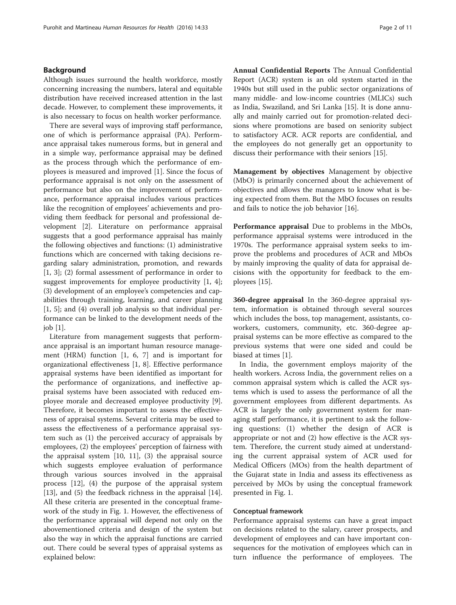#### Background

Although issues surround the health workforce, mostly concerning increasing the numbers, lateral and equitable distribution have received increased attention in the last decade. However, to complement these improvements, it is also necessary to focus on health worker performance.

There are several ways of improving staff performance, one of which is performance appraisal (PA). Performance appraisal takes numerous forms, but in general and in a simple way, performance appraisal may be defined as the process through which the performance of employees is measured and improved [\[1](#page-9-0)]. Since the focus of performance appraisal is not only on the assessment of performance but also on the improvement of performance, performance appraisal includes various practices like the recognition of employees' achievements and providing them feedback for personal and professional development [[2](#page-9-0)]. Literature on performance appraisal suggests that a good performance appraisal has mainly the following objectives and functions: (1) administrative functions which are concerned with taking decisions regarding salary administration, promotion, and rewards [[1, 3](#page-9-0)]; (2) formal assessment of performance in order to suggest improvements for employee productivity [\[1, 4](#page-9-0)]; (3) development of an employee's competencies and capabilities through training, learning, and career planning [[1, 5](#page-9-0)]; and (4) overall job analysis so that individual performance can be linked to the development needs of the job [\[1](#page-9-0)].

Literature from management suggests that performance appraisal is an important human resource management (HRM) function [\[1](#page-9-0), [6, 7](#page-9-0)] and is important for organizational effectiveness [[1, 8\]](#page-9-0). Effective performance appraisal systems have been identified as important for the performance of organizations, and ineffective appraisal systems have been associated with reduced employee morale and decreased employee productivity [\[9](#page-9-0)]. Therefore, it becomes important to assess the effectiveness of appraisal systems. Several criteria may be used to assess the effectiveness of a performance appraisal system such as (1) the perceived accuracy of appraisals by employees, (2) the employees' perception of fairness with the appraisal system [[10](#page-9-0), [11](#page-9-0)], (3) the appraisal source which suggests employee evaluation of performance through various sources involved in the appraisal process [[12\]](#page-9-0), (4) the purpose of the appraisal system [[13\]](#page-9-0), and (5) the feedback richness in the appraisal [\[14](#page-9-0)]. All these criteria are presented in the conceptual framework of the study in Fig. [1](#page-2-0). However, the effectiveness of the performance appraisal will depend not only on the abovementioned criteria and design of the system but also the way in which the appraisal functions are carried out. There could be several types of appraisal systems as explained below:

Annual Confidential Reports The Annual Confidential Report (ACR) system is an old system started in the 1940s but still used in the public sector organizations of many middle- and low-income countries (MLICs) such as India, Swaziland, and Sri Lanka [\[15\]](#page-9-0). It is done annually and mainly carried out for promotion-related decisions where promotions are based on seniority subject to satisfactory ACR. ACR reports are confidential, and the employees do not generally get an opportunity to discuss their performance with their seniors [[15\]](#page-9-0).

Management by objectives Management by objective (MbO) is primarily concerned about the achievement of objectives and allows the managers to know what is being expected from them. But the MbO focuses on results and fails to notice the job behavior [[16](#page-9-0)].

Performance appraisal Due to problems in the MbOs, performance appraisal systems were introduced in the 1970s. The performance appraisal system seeks to improve the problems and procedures of ACR and MbOs by mainly improving the quality of data for appraisal decisions with the opportunity for feedback to the employees [[15\]](#page-9-0).

360-degree appraisal In the 360-degree appraisal system, information is obtained through several sources which includes the boss, top management, assistants, coworkers, customers, community, etc. 360-degree appraisal systems can be more effective as compared to the previous systems that were one sided and could be biased at times [[1\]](#page-9-0).

In India, the government employs majority of the health workers. Across India, the government relies on a common appraisal system which is called the ACR systems which is used to assess the performance of all the government employees from different departments. As ACR is largely the only government system for managing staff performance, it is pertinent to ask the following questions: (1) whether the design of ACR is appropriate or not and (2) how effective is the ACR system. Therefore, the current study aimed at understanding the current appraisal system of ACR used for Medical Officers (MOs) from the health department of the Gujarat state in India and assess its effectiveness as perceived by MOs by using the conceptual framework presented in Fig. [1.](#page-2-0)

#### Conceptual framework

Performance appraisal systems can have a great impact on decisions related to the salary, career prospects, and development of employees and can have important consequences for the motivation of employees which can in turn influence the performance of employees. The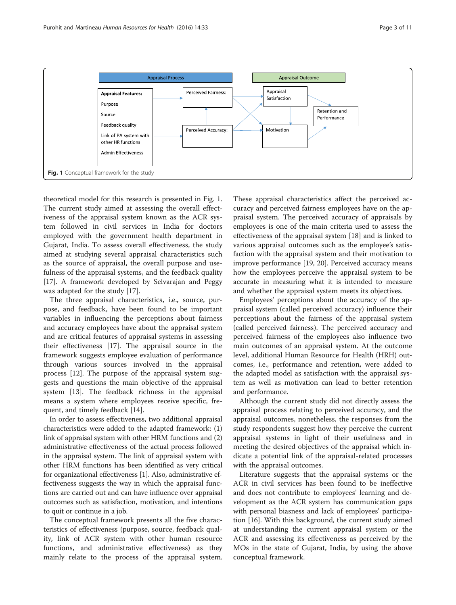<span id="page-2-0"></span>

theoretical model for this research is presented in Fig. 1. The current study aimed at assessing the overall effectiveness of the appraisal system known as the ACR system followed in civil services in India for doctors employed with the government health department in Gujarat, India. To assess overall effectiveness, the study aimed at studying several appraisal characteristics such as the source of appraisal, the overall purpose and usefulness of the appraisal systems, and the feedback quality [[17\]](#page-9-0). A framework developed by Selvarajan and Peggy was adapted for the study [\[17\]](#page-9-0).

The three appraisal characteristics, i.e., source, purpose, and feedback, have been found to be important variables in influencing the perceptions about fairness and accuracy employees have about the appraisal system and are critical features of appraisal systems in assessing their effectiveness [\[17\]](#page-9-0). The appraisal source in the framework suggests employee evaluation of performance through various sources involved in the appraisal process [[12](#page-9-0)]. The purpose of the appraisal system suggests and questions the main objective of the appraisal system [\[13\]](#page-9-0). The feedback richness in the appraisal means a system where employees receive specific, frequent, and timely feedback [\[14](#page-9-0)].

In order to assess effectiveness, two additional appraisal characteristics were added to the adapted framework: (1) link of appraisal system with other HRM functions and (2) administrative effectiveness of the actual process followed in the appraisal system. The link of appraisal system with other HRM functions has been identified as very critical for organizational effectiveness [\[1](#page-9-0)]. Also, administrative effectiveness suggests the way in which the appraisal functions are carried out and can have influence over appraisal outcomes such as satisfaction, motivation, and intentions to quit or continue in a job.

The conceptual framework presents all the five characteristics of effectiveness (purpose, source, feedback quality, link of ACR system with other human resource functions, and administrative effectiveness) as they mainly relate to the process of the appraisal system.

These appraisal characteristics affect the perceived accuracy and perceived fairness employees have on the appraisal system. The perceived accuracy of appraisals by employees is one of the main criteria used to assess the effectiveness of the appraisal system [[18\]](#page-9-0) and is linked to various appraisal outcomes such as the employee's satisfaction with the appraisal system and their motivation to improve performance [\[19](#page-9-0), [20\]](#page-9-0). Perceived accuracy means how the employees perceive the appraisal system to be accurate in measuring what it is intended to measure and whether the appraisal system meets its objectives.

Employees' perceptions about the accuracy of the appraisal system (called perceived accuracy) influence their perceptions about the fairness of the appraisal system (called perceived fairness). The perceived accuracy and perceived fairness of the employees also influence two main outcomes of an appraisal system. At the outcome level, additional Human Resource for Health (HRH) outcomes, i.e., performance and retention, were added to the adapted model as satisfaction with the appraisal system as well as motivation can lead to better retention and performance.

Although the current study did not directly assess the appraisal process relating to perceived accuracy, and the appraisal outcomes, nonetheless, the responses from the study respondents suggest how they perceive the current appraisal systems in light of their usefulness and in meeting the desired objectives of the appraisal which indicate a potential link of the appraisal-related processes with the appraisal outcomes.

Literature suggests that the appraisal systems or the ACR in civil services has been found to be ineffective and does not contribute to employees' learning and development as the ACR system has communication gaps with personal biasness and lack of employees' participation [\[16\]](#page-9-0). With this background, the current study aimed at understanding the current appraisal system or the ACR and assessing its effectiveness as perceived by the MOs in the state of Gujarat, India, by using the above conceptual framework.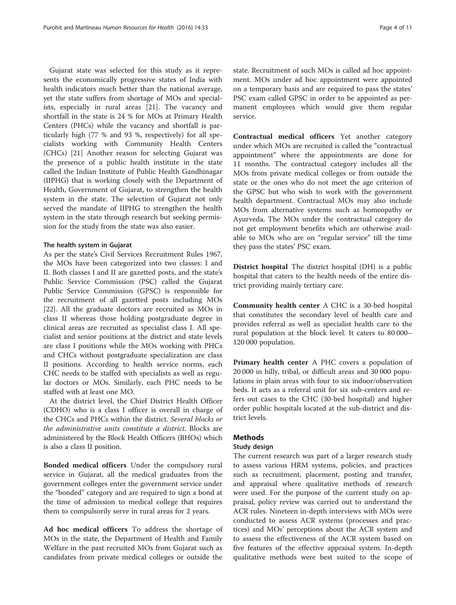Gujarat state was selected for this study as it represents the economically progressive states of India with health indicators much better than the national average, yet the state suffers from shortage of MOs and specialists, especially in rural areas [[21](#page-9-0)]. The vacancy and shortfall in the state is 24 % for MOs at Primary Health Centers (PHCs) while the vacancy and shortfall is particularly high (77 % and 93 %, respectively) for all specialists working with Community Health Centers (CHCs) [[21](#page-9-0)] Another reason for selecting Gujarat was the presence of a public health institute in the state called the Indian Institute of Public Health Gandhinagar (IIPHG) that is working closely with the Department of Health, Government of Gujarat, to strengthen the health system in the state. The selection of Gujarat not only served the mandate of IIPHG to strengthen the health system in the state through research but seeking permission for the study from the state was also easier.

#### The health system in Gujarat

As per the state's Civil Services Recruitment Rules 1967, the MOs have been categorized into two classes: I and II. Both classes I and II are gazetted posts, and the state's Public Service Commission (PSC) called the Gujarat Public Service Commission (GPSC) is responsible for the recruitment of all gazetted posts including MOs [[22\]](#page-9-0). All the graduate doctors are recruited as MOs in class II whereas those holding postgraduate degree in clinical areas are recruited as specialist class I. All specialist and senior positions at the district and state levels are class I positions while the MOs working with PHCs and CHCs without postgraduate specialization are class II positions. According to health service norms, each CHC needs to be staffed with specialists as well as regular doctors or MOs. Similarly, each PHC needs to be staffed with at least one MO.

At the district level, the Chief District Health Officer (CDHO) who is a class I officer is overall in charge of the CHCs and PHCs within the district. Several blocks or the administrative units constitute a district. Blocks are administered by the Block Health Officers (BHOs) which is also a class II position.

Bonded medical officers Under the compulsory rural service in Gujarat, all the medical graduates from the government colleges enter the government service under the "bonded" category and are required to sign a bond at the time of admission to medical college that requires them to compulsorily serve in rural areas for 2 years.

Ad hoc medical officers To address the shortage of MOs in the state, the Department of Health and Family Welfare in the past recruited MOs from Gujarat such as candidates from private medical colleges or outside the

state. Recruitment of such MOs is called ad hoc appointment. MOs under ad hoc appointment were appointed on a temporary basis and are required to pass the states' PSC exam called GPSC in order to be appointed as permanent employees which would give them regular service.

Contractual medical officers Yet another category under which MOs are recruited is called the "contractual appointment" where the appointments are done for 11 months. The contractual category includes all the MOs from private medical colleges or from outside the state or the ones who do not meet the age criterion of the GPSC but who wish to work with the government health department. Contractual MOs may also include MOs from alternative systems such as homeopathy or Ayurveda. The MOs under the contractual category do not get employment benefits which are otherwise available to MOs who are on "regular service" till the time they pass the states' PSC exam.

District hospital The district hospital (DH) is a public hospital that caters to the health needs of the entire district providing mainly tertiary care.

Community health center A CHC is a 30-bed hospital that constitutes the secondary level of health care and provides referral as well as specialist health care to the rural population at the block level. It caters to 80 000– 120 000 population.

Primary health center A PHC covers a population of 20 000 in hilly, tribal, or difficult areas and 30 000 populations in plain areas with four to six indoor/observation beds. It acts as a referral unit for six sub-centers and refers out cases to the CHC (30-bed hospital) and higher order public hospitals located at the sub-district and district levels.

## **Methods**

#### Study design

The current research was part of a larger research study to assess various HRM systems, policies, and practices such as recruitment, placement, posting and transfer, and appraisal where qualitative methods of research were used. For the purpose of the current study on appraisal, policy review was carried out to understand the ACR rules. Nineteen in-depth interviews with MOs were conducted to assess ACR systems (processes and practices) and MOs' perceptions about the ACR system and to assess the effectiveness of the ACR system based on five features of the effective appraisal system. In-depth qualitative methods were best suited to the scope of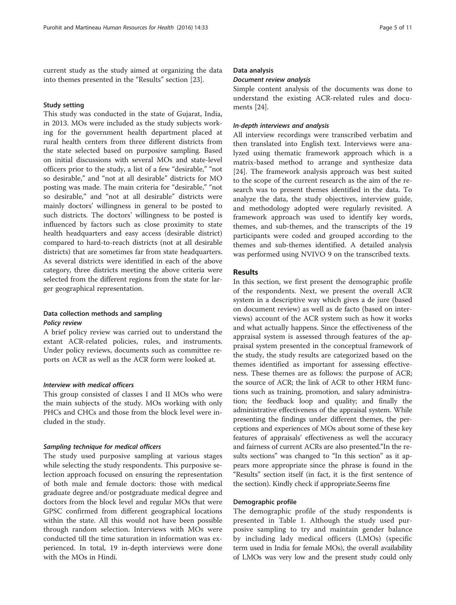current study as the study aimed at organizing the data into themes presented in the "Results" section [[23\]](#page-9-0).

#### Study setting

This study was conducted in the state of Gujarat, India, in 2013. MOs were included as the study subjects working for the government health department placed at rural health centers from three different districts from the state selected based on purposive sampling. Based on initial discussions with several MOs and state-level officers prior to the study, a list of a few "desirable," "not so desirable," and "not at all desirable" districts for MO posting was made. The main criteria for "desirable," "not so desirable," and "not at all desirable" districts were mainly doctors' willingness in general to be posted to such districts. The doctors' willingness to be posted is influenced by factors such as close proximity to state health headquarters and easy access (desirable district) compared to hard-to-reach districts (not at all desirable districts) that are sometimes far from state headquarters. As several districts were identified in each of the above category, three districts meeting the above criteria were selected from the different regions from the state for larger geographical representation.

## Data collection methods and sampling Policy review

A brief policy review was carried out to understand the extant ACR-related policies, rules, and instruments. Under policy reviews, documents such as committee reports on ACR as well as the ACR form were looked at.

#### Interview with medical officers

This group consisted of classes I and II MOs who were the main subjects of the study. MOs working with only PHCs and CHCs and those from the block level were included in the study.

#### Sampling technique for medical officers

The study used purposive sampling at various stages while selecting the study respondents. This purposive selection approach focused on ensuring the representation of both male and female doctors: those with medical graduate degree and/or postgraduate medical degree and doctors from the block level and regular MOs that were GPSC confirmed from different geographical locations within the state. All this would not have been possible through random selection. Interviews with MOs were conducted till the time saturation in information was experienced. In total, 19 in-depth interviews were done with the MOs in Hindi.

#### Data analysis

#### Document review analysis

Simple content analysis of the documents was done to understand the existing ACR-related rules and documents [[24\]](#page-9-0).

#### In-depth interviews and analysis

All interview recordings were transcribed verbatim and then translated into English text. Interviews were analyzed using thematic framework approach which is a matrix-based method to arrange and synthesize data [[24\]](#page-9-0). The framework analysis approach was best suited to the scope of the current research as the aim of the research was to present themes identified in the data. To analyze the data, the study objectives, interview guide, and methodology adopted were regularly revisited. A framework approach was used to identify key words, themes, and sub-themes, and the transcripts of the 19 participants were coded and grouped according to the themes and sub-themes identified. A detailed analysis was performed using NVIVO 9 on the transcribed texts.

#### Results

In this section, we first present the demographic profile of the respondents. Next, we present the overall ACR system in a descriptive way which gives a de jure (based on document review) as well as de facto (based on interviews) account of the ACR system such as how it works and what actually happens. Since the effectiveness of the appraisal system is assessed through features of the appraisal system presented in the conceptual framework of the study, the study results are categorized based on the themes identified as important for assessing effectiveness. These themes are as follows: the purpose of ACR; the source of ACR; the link of ACR to other HRM functions such as training, promotion, and salary administration; the feedback loop and quality; and finally the administrative effectiveness of the appraisal system. While presenting the findings under different themes, the perceptions and experiences of MOs about some of these key features of appraisals' effectiveness as well the accuracy and fairness of current ACRs are also presented."In the results sections" was changed to "In this section" as it appears more appropriate since the phrase is found in the "Results" section itself (in fact, it is the first sentence of the section). Kindly check if appropriate.Seems fine

#### Demographic profile

The demographic profile of the study respondents is presented in Table [1](#page-5-0). Although the study used purposive sampling to try and maintain gender balance by including lady medical officers (LMOs) (specific term used in India for female MOs), the overall availability of LMOs was very low and the present study could only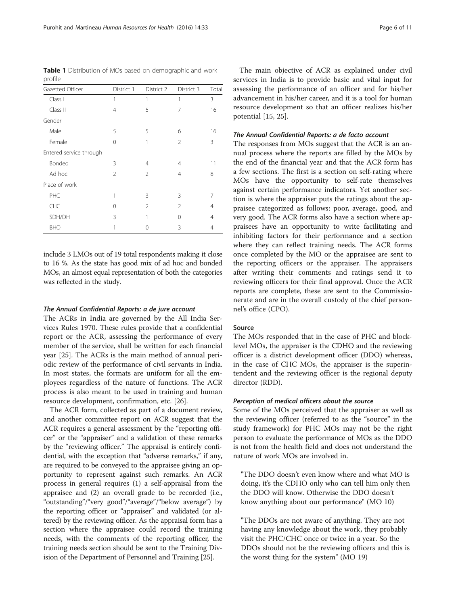<span id="page-5-0"></span>Table 1 Distribution of MOs based on demographic and work profile

| Gazetted Officer        | District 1     | District 2       | District 3     | Total          |
|-------------------------|----------------|------------------|----------------|----------------|
| Class I                 |                | 1                | 1              | 3              |
| Class II                | 4              | 5                | 7              | 16             |
| Gender                  |                |                  |                |                |
| Male                    | 5              | 5                | 6              | 16             |
| Female                  | 0              | 1                | $\mathfrak{D}$ | 3              |
| Entered service through |                |                  |                |                |
| Bonded                  | 3              | 4                | 4              | 11             |
| Ad hoc                  | $\mathfrak{D}$ | $\mathfrak{D}$   | 4              | 8              |
| Place of work           |                |                  |                |                |
| PHC                     |                | 3                | 3              | 7              |
| <b>CHC</b>              | Λ              | $\mathfrak{D}$   | $\mathfrak{D}$ | $\overline{4}$ |
| SDH/DH                  | 3              | 1                | 0              | 4              |
| <b>BHO</b>              |                | $\left( \right)$ | 3              | 4              |

include 3 LMOs out of 19 total respondents making it close to 16 %. As the state has good mix of ad hoc and bonded MOs, an almost equal representation of both the categories was reflected in the study.

#### The Annual Confidential Reports: a de jure account

The ACRs in India are governed by the All India Services Rules 1970. These rules provide that a confidential report or the ACR, assessing the performance of every member of the service, shall be written for each financial year [\[25\]](#page-9-0). The ACRs is the main method of annual periodic review of the performance of civil servants in India. In most states, the formats are uniform for all the employees regardless of the nature of functions. The ACR process is also meant to be used in training and human resource development, confirmation, etc. [\[26](#page-10-0)].

The ACR form, collected as part of a document review, and another committee report on ACR suggest that the ACR requires a general assessment by the "reporting officer" or the "appraiser" and a validation of these remarks by the "reviewing officer." The appraisal is entirely confidential, with the exception that "adverse remarks," if any, are required to be conveyed to the appraisee giving an opportunity to represent against such remarks. An ACR process in general requires (1) a self-appraisal from the appraisee and (2) an overall grade to be recorded (i.e., "outstanding"/"very good"/"average"/"below average") by the reporting officer or "appraiser" and validated (or altered) by the reviewing officer. As the appraisal form has a section where the appraisee could record the training needs, with the comments of the reporting officer, the training needs section should be sent to the Training Division of the Department of Personnel and Training [\[25\]](#page-9-0).

The main objective of ACR as explained under civil services in India is to provide basic and vital input for assessing the performance of an officer and for his/her advancement in his/her career, and it is a tool for human resource development so that an officer realizes his/her potential [[15, 25\]](#page-9-0).

#### The Annual Confidential Reports: a de facto account

The responses from MOs suggest that the ACR is an annual process where the reports are filled by the MOs by the end of the financial year and that the ACR form has a few sections. The first is a section on self-rating where MOs have the opportunity to self-rate themselves against certain performance indicators. Yet another section is where the appraiser puts the ratings about the appraisee categorized as follows: poor, average, good, and very good. The ACR forms also have a section where appraisees have an opportunity to write facilitating and inhibiting factors for their performance and a section where they can reflect training needs. The ACR forms once completed by the MO or the appraisee are sent to the reporting officers or the appraiser. The appraisers after writing their comments and ratings send it to reviewing officers for their final approval. Once the ACR reports are complete, these are sent to the Commissionerate and are in the overall custody of the chief personnel's office (CPO).

#### Source

The MOs responded that in the case of PHC and blocklevel MOs, the appraiser is the CDHO and the reviewing officer is a district development officer (DDO) whereas, in the case of CHC MOs, the appraiser is the superintendent and the reviewing officer is the regional deputy director (RDD).

#### Perception of medical officers about the source

Some of the MOs perceived that the appraiser as well as the reviewing officer (referred to as the "source" in the study framework) for PHC MOs may not be the right person to evaluate the performance of MOs as the DDO is not from the health field and does not understand the nature of work MOs are involved in.

"The DDO doesn't even know where and what MO is doing, it's the CDHO only who can tell him only then the DDO will know. Otherwise the DDO doesn't know anything about our performance" (MO 10)

"The DDOs are not aware of anything. They are not having any knowledge about the work, they probably visit the PHC/CHC once or twice in a year. So the DDOs should not be the reviewing officers and this is the worst thing for the system" (MO 19)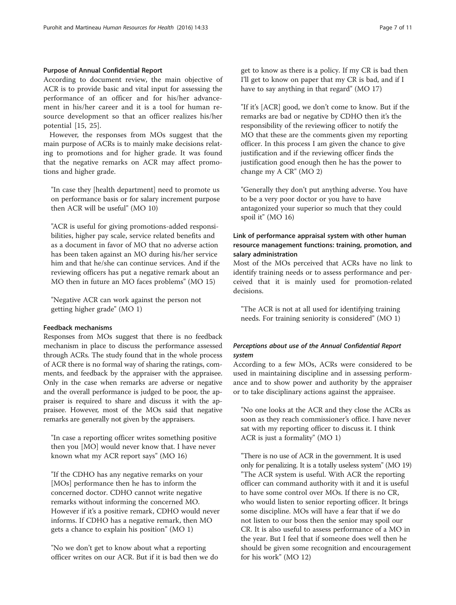#### Purpose of Annual Confidential Report

According to document review, the main objective of ACR is to provide basic and vital input for assessing the performance of an officer and for his/her advancement in his/her career and it is a tool for human resource development so that an officer realizes his/her potential [[15, 25\]](#page-9-0).

However, the responses from MOs suggest that the main purpose of ACRs is to mainly make decisions relating to promotions and for higher grade. It was found that the negative remarks on ACR may affect promotions and higher grade.

"In case they [health department] need to promote us on performance basis or for salary increment purpose then ACR will be useful" (MO 10)

"ACR is useful for giving promotions-added responsibilities, higher pay scale, service related benefits and as a document in favor of MO that no adverse action has been taken against an MO during his/her service him and that he/she can continue services. And if the reviewing officers has put a negative remark about an MO then in future an MO faces problems" (MO 15)

"Negative ACR can work against the person not getting higher grade" (MO 1)

#### Feedback mechanisms

Responses from MOs suggest that there is no feedback mechanism in place to discuss the performance assessed through ACRs. The study found that in the whole process of ACR there is no formal way of sharing the ratings, comments, and feedback by the appraiser with the appraisee. Only in the case when remarks are adverse or negative and the overall performance is judged to be poor, the appraiser is required to share and discuss it with the appraisee. However, most of the MOs said that negative remarks are generally not given by the appraisers.

"In case a reporting officer writes something positive then you [MO] would never know that. I have never known what my ACR report says" (MO 16)

"If the CDHO has any negative remarks on your [MOs] performance then he has to inform the concerned doctor. CDHO cannot write negative remarks without informing the concerned MO. However if it's a positive remark, CDHO would never informs. If CDHO has a negative remark, then MO gets a chance to explain his position" (MO 1)

"No we don't get to know about what a reporting officer writes on our ACR. But if it is bad then we do get to know as there is a policy. If my CR is bad then I'll get to know on paper that my CR is bad, and if I have to say anything in that regard" (MO 17)

"If it's [ACR] good, we don't come to know. But if the remarks are bad or negative by CDHO then it's the responsibility of the reviewing officer to notify the MO that these are the comments given my reporting officer. In this process I am given the chance to give justification and if the reviewing officer finds the justification good enough then he has the power to change my A CR" (MO 2)

"Generally they don't put anything adverse. You have to be a very poor doctor or you have to have antagonized your superior so much that they could spoil it" (MO 16)

# Link of performance appraisal system with other human resource management functions: training, promotion, and salary administration

Most of the MOs perceived that ACRs have no link to identify training needs or to assess performance and perceived that it is mainly used for promotion-related decisions.

"The ACR is not at all used for identifying training needs. For training seniority is considered" (MO 1)

## Perceptions about use of the Annual Confidential Report system

According to a few MOs, ACRs were considered to be used in maintaining discipline and in assessing performance and to show power and authority by the appraiser or to take disciplinary actions against the appraisee.

"No one looks at the ACR and they close the ACRs as soon as they reach commissioner's office. I have never sat with my reporting officer to discuss it. I think ACR is just a formality" (MO 1)

"There is no use of ACR in the government. It is used only for penalizing. It is a totally useless system" (MO 19) "The ACR system is useful. With ACR the reporting officer can command authority with it and it is useful to have some control over MOs. If there is no CR, who would listen to senior reporting officer. It brings some discipline. MOs will have a fear that if we do not listen to our boss then the senior may spoil our CR. It is also useful to assess performance of a MO in the year. But I feel that if someone does well then he should be given some recognition and encouragement for his work" (MO 12)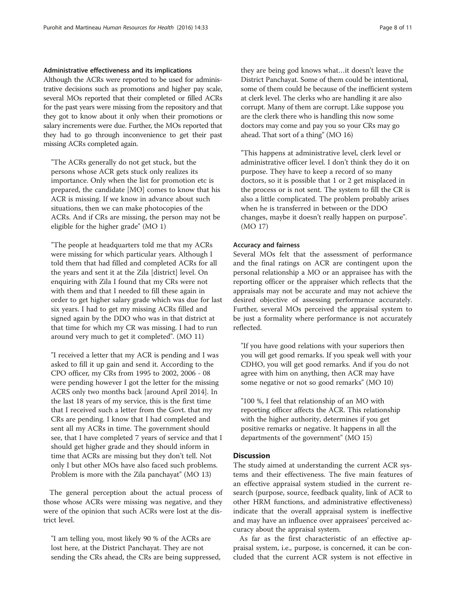#### Administrative effectiveness and its implications

Although the ACRs were reported to be used for administrative decisions such as promotions and higher pay scale, several MOs reported that their completed or filled ACRs for the past years were missing from the repository and that they got to know about it only when their promotions or salary increments were due. Further, the MOs reported that they had to go through inconvenience to get their past missing ACRs completed again.

"The ACRs generally do not get stuck, but the persons whose ACR gets stuck only realizes its importance. Only when the list for promotion etc is prepared, the candidate [MO] comes to know that his ACR is missing. If we know in advance about such situations, then we can make photocopies of the ACRs. And if CRs are missing, the person may not be eligible for the higher grade" (MO 1)

"The people at headquarters told me that my ACRs were missing for which particular years. Although I told them that had filled and completed ACRs for all the years and sent it at the Zila [district] level. On enquiring with Zila I found that my CRs were not with them and that I needed to fill these again in order to get higher salary grade which was due for last six years. I had to get my missing ACRs filled and signed again by the DDO who was in that district at that time for which my CR was missing. I had to run around very much to get it completed". (MO 11)

"I received a letter that my ACR is pending and I was asked to fill it up gain and send it. According to the CPO officer, my CRs from 1995 to 2002, 2006 - 08 were pending however I got the letter for the missing ACRS only two months back [around April 2014]. In the last 18 years of my service, this is the first time that I received such a letter from the Govt. that my CRs are pending. I know that I had completed and sent all my ACRs in time. The government should see, that I have completed 7 years of service and that I should get higher grade and they should inform in time that ACRs are missing but they don't tell. Not only I but other MOs have also faced such problems. Problem is more with the Zila panchayat" (MO 13)

The general perception about the actual process of those whose ACRs were missing was negative, and they were of the opinion that such ACRs were lost at the district level.

"I am telling you, most likely 90 % of the ACRs are lost here, at the District Panchayat. They are not sending the CRs ahead, the CRs are being suppressed, they are being god knows what…it doesn't leave the District Panchayat. Some of them could be intentional, some of them could be because of the inefficient system at clerk level. The clerks who are handling it are also corrupt. Many of them are corrupt. Like suppose you are the clerk there who is handling this now some doctors may come and pay you so your CRs may go ahead. That sort of a thing" (MO 16)

"This happens at administrative level, clerk level or administrative officer level. I don't think they do it on purpose. They have to keep a record of so many doctors, so it is possible that 1 or 2 get misplaced in the process or is not sent. The system to fill the CR is also a little complicated. The problem probably arises when he is transferred in between or the DDO changes, maybe it doesn't really happen on purpose". (MO 17)

#### Accuracy and fairness

Several MOs felt that the assessment of performance and the final ratings on ACR are contingent upon the personal relationship a MO or an appraisee has with the reporting officer or the appraiser which reflects that the appraisals may not be accurate and may not achieve the desired objective of assessing performance accurately. Further, several MOs perceived the appraisal system to be just a formality where performance is not accurately reflected.

"If you have good relations with your superiors then you will get good remarks. If you speak well with your CDHO, you will get good remarks. And if you do not agree with him on anything, then ACR may have some negative or not so good remarks" (MO 10)

"100 %, I feel that relationship of an MO with reporting officer affects the ACR. This relationship with the higher authority, determines if you get positive remarks or negative. It happens in all the departments of the government" (MO 15)

#### **Discussion**

The study aimed at understanding the current ACR systems and their effectiveness. The five main features of an effective appraisal system studied in the current research (purpose, source, feedback quality, link of ACR to other HRM functions, and administrative effectiveness) indicate that the overall appraisal system is ineffective and may have an influence over appraisees' perceived accuracy about the appraisal system.

As far as the first characteristic of an effective appraisal system, i.e., purpose, is concerned, it can be concluded that the current ACR system is not effective in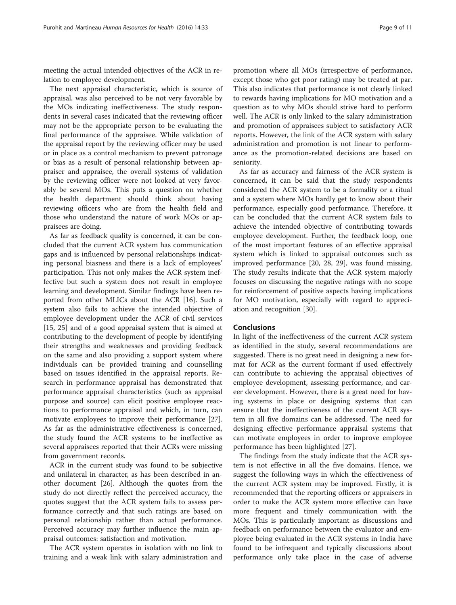meeting the actual intended objectives of the ACR in relation to employee development.

The next appraisal characteristic, which is source of appraisal, was also perceived to be not very favorable by the MOs indicating ineffectiveness. The study respondents in several cases indicated that the reviewing officer may not be the appropriate person to be evaluating the final performance of the appraisee. While validation of the appraisal report by the reviewing officer may be used or in place as a control mechanism to prevent patronage or bias as a result of personal relationship between appraiser and appraisee, the overall systems of validation by the reviewing officer were not looked at very favorably be several MOs. This puts a question on whether the health department should think about having reviewing officers who are from the health field and those who understand the nature of work MOs or appraisees are doing.

As far as feedback quality is concerned, it can be concluded that the current ACR system has communication gaps and is influenced by personal relationships indicating personal biasness and there is a lack of employees' participation. This not only makes the ACR system ineffective but such a system does not result in employee learning and development. Similar findings have been reported from other MLICs about the ACR [\[16](#page-9-0)]. Such a system also fails to achieve the intended objective of employee development under the ACR of civil services [[15, 25](#page-9-0)] and of a good appraisal system that is aimed at contributing to the development of people by identifying their strengths and weaknesses and providing feedback on the same and also providing a support system where individuals can be provided training and counselling based on issues identified in the appraisal reports. Research in performance appraisal has demonstrated that performance appraisal characteristics (such as appraisal purpose and source) can elicit positive employee reactions to performance appraisal and which, in turn, can motivate employees to improve their performance [\[27](#page-10-0)]. As far as the administrative effectiveness is concerned, the study found the ACR systems to be ineffective as several appraisees reported that their ACRs were missing from government records.

ACR in the current study was found to be subjective and unilateral in character, as has been described in another document [[26](#page-10-0)]. Although the quotes from the study do not directly reflect the perceived accuracy, the quotes suggest that the ACR system fails to assess performance correctly and that such ratings are based on personal relationship rather than actual performance. Perceived accuracy may further influence the main appraisal outcomes: satisfaction and motivation.

The ACR system operates in isolation with no link to training and a weak link with salary administration and

promotion where all MOs (irrespective of performance, except those who get poor rating) may be treated at par. This also indicates that performance is not clearly linked to rewards having implications for MO motivation and a question as to why MOs should strive hard to perform well. The ACR is only linked to the salary administration and promotion of appraisees subject to satisfactory ACR reports. However, the link of the ACR system with salary administration and promotion is not linear to performance as the promotion-related decisions are based on seniority.

As far as accuracy and fairness of the ACR system is concerned, it can be said that the study respondents considered the ACR system to be a formality or a ritual and a system where MOs hardly get to know about their performance, especially good performance. Therefore, it can be concluded that the current ACR system fails to achieve the intended objective of contributing towards employee development. Further, the feedback loop, one of the most important features of an effective appraisal system which is linked to appraisal outcomes such as improved performance [[20,](#page-9-0) [28, 29\]](#page-10-0), was found missing. The study results indicate that the ACR system majorly focuses on discussing the negative ratings with no scope for reinforcement of positive aspects having implications for MO motivation, especially with regard to appreciation and recognition [\[30\]](#page-10-0).

### Conclusions

In light of the ineffectiveness of the current ACR system as identified in the study, several recommendations are suggested. There is no great need in designing a new format for ACR as the current formant if used effectively can contribute to achieving the appraisal objectives of employee development, assessing performance, and career development. However, there is a great need for having systems in place or designing systems that can ensure that the ineffectiveness of the current ACR system in all five domains can be addressed. The need for designing effective performance appraisal systems that can motivate employees in order to improve employee performance has been highlighted [\[27\]](#page-10-0).

The findings from the study indicate that the ACR system is not effective in all the five domains. Hence, we suggest the following ways in which the effectiveness of the current ACR system may be improved. Firstly, it is recommended that the reporting officers or appraisers in order to make the ACR system more effective can have more frequent and timely communication with the MOs. This is particularly important as discussions and feedback on performance between the evaluator and employee being evaluated in the ACR systems in India have found to be infrequent and typically discussions about performance only take place in the case of adverse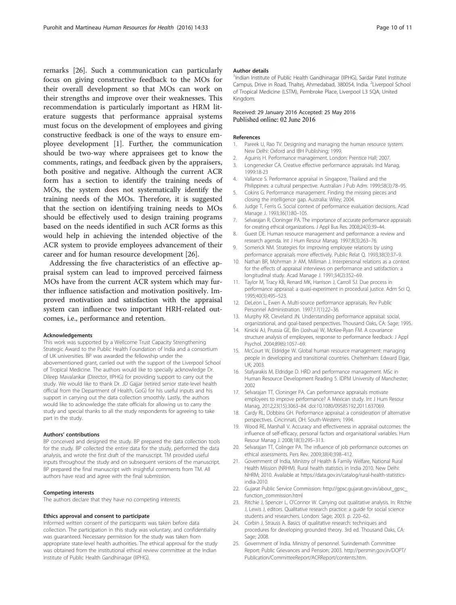<span id="page-9-0"></span>remarks [[26](#page-10-0)]. Such a communication can particularly focus on giving constructive feedback to the MOs for their overall development so that MOs can work on their strengths and improve over their weaknesses. This recommendation is particularly important as HRM literature suggests that performance appraisal systems must focus on the development of employees and giving constructive feedback is one of the ways to ensure employee development [1]. Further, the communication should be two-way where appraisees get to know the comments, ratings, and feedback given by the appraisers, both positive and negative. Although the current ACR form has a section to identify the training needs of MOs, the system does not systematically identify the training needs of the MOs. Therefore, it is suggested that the section on identifying training needs to MOs should be effectively used to design training programs based on the needs identified in such ACR forms as this would help in achieving the intended objective of the ACR system to provide employees advancement of their career and for human resource development [\[26\]](#page-10-0).

Addressing the five characteristics of an effective appraisal system can lead to improved perceived fairness MOs have from the current ACR system which may further influence satisfaction and motivation positively. Improved motivation and satisfaction with the appraisal system can influence two important HRH-related outcomes, i.e., performance and retention.

#### Acknowledgements

This work was supported by a Wellcome Trust Capacity Strengthening Strategic Award to the Public Health Foundation of India and a consortium of UK universities. BP was awarded the fellowship under the abovementioned grant, carried out with the support of the Liverpool School of Tropical Medicine. The authors would like to specially acknowledge Dr. Dileep Mavalankar (Director, IIPHG) for providing support to carry out the study. We would like to thank Dr. JD Gajjar (retired senior state-level health official from the Department of Health, GoG) for his useful inputs and his support in carrying out the data collection smoothly. Lastly, the authors would like to acknowledge the state officials for allowing us to carry the study and special thanks to all the study respondents for agreeing to take part in the study.

#### Authors' contributions

BP conceived and designed the study. BP prepared the data collection tools for the study. BP collected the entire data for the study, performed the data analysis, and wrote the first draft of the manuscript. TM provided useful inputs throughout the study and on subsequent versions of the manuscript. BP prepared the final manuscript with insightful comments from TM. All authors have read and agree with the final submission.

#### Competing interests

The authors declare that they have no competing interests.

#### Ethics approval and consent to participate

Informed written consent of the participants was taken before data collection. The participation in this study was voluntary, and confidentiality was guaranteed. Necessary permission for the study was taken from appropriate state-level health authorities. The ethical approval for the study was obtained from the institutional ethical review committee at the Indian Institute of Public Health Gandhinagar (IIPHG).

#### Author details

<sup>1</sup>Indian Institute of Public Health Gandhinagar (IIPHG), Sardar Patel Institute Campus, Drive in Road, Thaltej, Ahmedabad, 380054, India. <sup>2</sup>Liverpool School of Tropical Medicine (LSTM), Pembroke Place, Liverpool L3 5QA, United Kingdom.

#### Received: 29 January 2016 Accepted: 25 May 2016 Published online: 02 June 2016

#### References

- Pareek U, Rao TV. Designing and managing the human resource system. New Delhi: Oxford and IBH Publishing; 1999.
- 2. Aguinis H. Performance management. London: Prentice Hall; 2007.
- 3. Longenecker CA. Creative effective performance appraisals. Ind Manag, 1999:18-23
- 4. Vallance S. Performance appraisal in Singapore, Thailand and the Philippines: a cultural perspective. Australian J Pub Adm. 1999;58(3):78–95.
- 5. Cokins G. Performance management. Finding the missing pieces and closing the intelligence gap. Australia: Wiley; 2004.
- 6. Judge T, Ferris G. Social context of performance evaluation decisions. Acad Manage J. 1993;36(1):80–105.
- 7. Selvarajan R, Cloninger PA. The importance of accurate performance appraisals for creating ethical organizations. J Appl Bus Res. 2008;24(3):39–44.
- 8. Guest DE. Human resource management and performance: a review and research agenda. Int J Hum Resour Manag. 1997;8(3):263–76.
- 9. Somerick NM. Strategies for improving employee relations by using performance appraisals more effectively. Public Relat Q. 1993;38(3):37–9.
- 10. Nathan BR, Mohrman Jr AM, Milliman J. Interpersonal relations as a context for the effects of appraisal interviews on performance and satisfaction: a longitudinal study. Acad Manage J. 1991;34(2):352–69.
- 11. Taylor M, Tracy KB, Renard MK, Harrison J, Carroll SJ. Due process in performance appraisal: a quasi-experiment in procedural justice. Adm Sci Q. 1995;40(3):495–523.
- 12. DeLeon L, Ewen A. Multi-source performance appraisals. Rev Public Personnel Administration. 1997;17(1):22–36.
- 13. Murphy KR, Cleveland JN. Understanding performance appraisal: social, organizational, and goal-based perspectives. Thousand Oaks, CA: Sage; 1995.
- 14. Kinicki AJ, Prussia GE, Bin (Joshua) W, McKee-Ryan FM. A covariance structure analysis of employees, response to performance feedback. J Appl Psychol. 2004;89(6):1057–69.
- 15. McCourt W, Eldridge W. Global human resource management: managing people in developing and transitional countries. Cheltenham: Edward Elgar, UK; 2003.
- 16. Stafyarakis M, Eldridge D. HRD and performance management. MSc in Human Resource Development Reading 5. IDPM University of Manchester; 2002
- 17. Selvarajan TT, Cloninger PA. Can performance appraisals motivate employees to improve performance? A Mexican study. Int J Hum Resour Manag. 2012;23(15):3063–84. doi:[10.1080/09585192.2011.637069.](http://dx.doi.org/10.1080/09585192.2011.637069)
- 18. Cardy RL, Dobbins GH. Performance appraisal: a consideration of alternative perspectives. Cincinnati, OH: South-Western; 1994.
- 19. Wood RE, Marshall V. Accuracy and effectiveness in appraisal outcomes: the influence of self-efficacy, personal factors and organisational variables. Hum Resour Manag J. 2008;18(3):295–313.
- 20. Selvarajan TT, Colinger PA. The influence of job performance outcomes on ethical assessments. Pers Rev. 2009;38(4):398–412.
- 21. Government of India, Ministry of Health & Family Welfare, National Rural Health Mission (NRHM). Rural health statistics in India 2010. New Delhi: NHRM; 2010. Available at [https://data.gov.in/catalog/rural-health-statistics](https://data.gov.in/catalog/rural-health-statistics-india-2010)[india-2010](https://data.gov.in/catalog/rural-health-statistics-india-2010).
- 22. Gujarat Public Service Commission: [http://gpsc.gujarat.gov.in/about\\_gpsc\\_](http://gpsc.gujarat.gov.in/about_gpsc_function_commission.html) [function\\_commission.html](http://gpsc.gujarat.gov.in/about_gpsc_function_commission.html)
- 23. Ritchie J, Spencer L, O'Connor W. Carrying out qualitative analysis. In: Ritchie J, Lewis J, editors. Qualitative research practice: a guide for social science students and researchers. London: Sage; 2003. p. 220–62.
- 24. Corbin J, Strauss A. Basics of qualitative research: techniques and procedures for developing grounded theory. 3rd ed. Thousand Oaks, CA: Sage; 2008.
- 25. Government of India. Ministry of personnel. Surindernath Committee Report: Public Grievances and Pension; 2003. [http://persmin.gov.in/DOPT/](http://persmin.gov.in/DOPT/Publication/CommitteeReport/ACRReport/contents.htm) [Publication/CommitteeReport/ACRReport/contents.htm.](http://persmin.gov.in/DOPT/Publication/CommitteeReport/ACRReport/contents.htm)